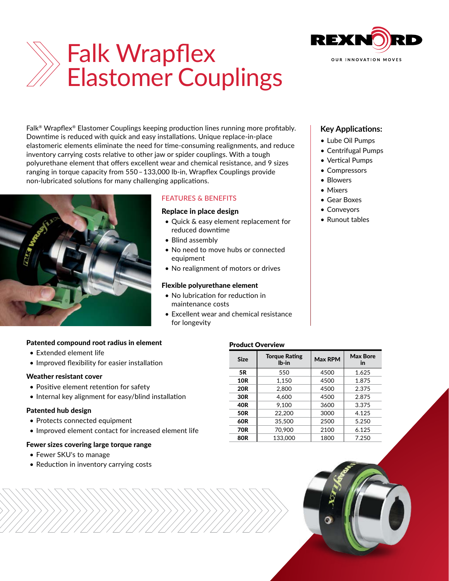

# Falk Wrapflex Elastomer Couplings

Falk® Wrapflex® Elastomer Couplings keeping production lines running more profitably. Downtime is reduced with quick and easy installations. Unique replace-in-place elastomeric elements eliminate the need for time-consuming realignments, and reduce inventory carrying costs relative to other jaw or spider couplings. With a tough polyurethane element that offers excellent wear and chemical resistance, and 9 sizes ranging in torque capacity from 550 – 133,000 lb-in, Wrapflex Couplings provide non-lubricated solutions for many challenging applications.



### FEATURES & BENEFITS

#### Replace in place design

- Quick & easy element replacement for reduced downtime
- Blind assembly
- No need to move hubs or connected equipment
- No realignment of motors or drives

#### Flexible polyurethane element

- No lubrication for reduction in maintenance costs
- Excellent wear and chemical resistance for longevity

## **Key Applications:**

- Lube Oil Pumps
- Centrifugal Pumps
- Vertical Pumps
- Compressors
- Blowers
- Mixers
- Gear Boxes
- Conveyors
- Runout tables

#### Patented compound root radius in element

- Extended element life
- Improved flexibility for easier installation

#### Weather resistant cover

- Positive element retention for safety
- Internal key alignment for easy/blind installation

#### Patented hub design

- Protects connected equipment
- Improved element contact for increased element life

#### Fewer sizes covering large torque range

- Fewer SKU's to manage
- Reduction in inventory carrying costs